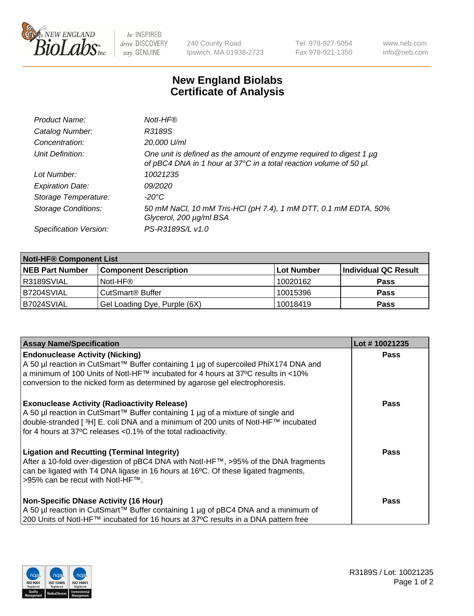

 $be$  INSPIRED drive DISCOVERY stay GENUINE

240 County Road Ipswich, MA 01938-2723 Tel 978-927-5054 Fax 978-921-1350 www.neb.com info@neb.com

## **New England Biolabs Certificate of Analysis**

| Product Name:              | Notl-HF®                                                                                                                                  |
|----------------------------|-------------------------------------------------------------------------------------------------------------------------------------------|
| Catalog Number:            | R3189S                                                                                                                                    |
| Concentration:             | 20,000 U/ml                                                                                                                               |
| Unit Definition:           | One unit is defined as the amount of enzyme required to digest 1 µg<br>of pBC4 DNA in 1 hour at 37°C in a total reaction volume of 50 µl. |
| Lot Number:                | 10021235                                                                                                                                  |
| <b>Expiration Date:</b>    | 09/2020                                                                                                                                   |
| Storage Temperature:       | -20°C                                                                                                                                     |
| <b>Storage Conditions:</b> | 50 mM NaCl, 10 mM Tris-HCl (pH 7.4), 1 mM DTT, 0.1 mM EDTA, 50%<br>Glycerol, 200 µg/ml BSA                                                |
| Specification Version:     | PS-R3189S/L v1.0                                                                                                                          |

| <b>Notl-HF® Component List</b> |                              |            |                      |  |  |
|--------------------------------|------------------------------|------------|----------------------|--|--|
| <b>NEB Part Number</b>         | <b>Component Description</b> | Lot Number | Individual QC Result |  |  |
| R3189SVIAL                     | Notl-HF®                     | 10020162   | <b>Pass</b>          |  |  |
| B7204SVIAL                     | CutSmart <sup>®</sup> Buffer | 10015396   | <b>Pass</b>          |  |  |
| B7024SVIAL                     | Gel Loading Dye, Purple (6X) | 10018419   | <b>Pass</b>          |  |  |

| <b>Assay Name/Specification</b>                                                                                                                                                                                                                                                                            | Lot #10021235 |
|------------------------------------------------------------------------------------------------------------------------------------------------------------------------------------------------------------------------------------------------------------------------------------------------------------|---------------|
| <b>Endonuclease Activity (Nicking)</b><br>  A 50 µl reaction in CutSmart™ Buffer containing 1 µg of supercoiled PhiX174 DNA and                                                                                                                                                                            | <b>Pass</b>   |
| a minimum of 100 Units of Notl-HF™ incubated for 4 hours at 37°C results in <10%<br>conversion to the nicked form as determined by agarose gel electrophoresis.                                                                                                                                            |               |
| <b>Exonuclease Activity (Radioactivity Release)</b><br>A 50 µl reaction in CutSmart™ Buffer containing 1 µg of a mixture of single and<br>double-stranded [ <sup>3</sup> H] E. coli DNA and a minimum of 200 units of Notl-HF™ incubated<br>for 4 hours at 37°C releases <0.1% of the total radioactivity. | <b>Pass</b>   |
| <b>Ligation and Recutting (Terminal Integrity)</b><br>After a 10-fold over-digestion of pBC4 DNA with Notl-HF™, >95% of the DNA fragments<br>can be ligated with T4 DNA ligase in 16 hours at 16 $\degree$ C. Of these ligated fragments,<br> >95% can be recut with NotI-HF™.                             | <b>Pass</b>   |
| Non-Specific DNase Activity (16 Hour)<br>  A 50 µl reaction in CutSmart™ Buffer containing 1 µg of pBC4 DNA and a minimum of<br>200 Units of Notl-HF™ incubated for 16 hours at 37°C results in a DNA pattern free                                                                                         | <b>Pass</b>   |